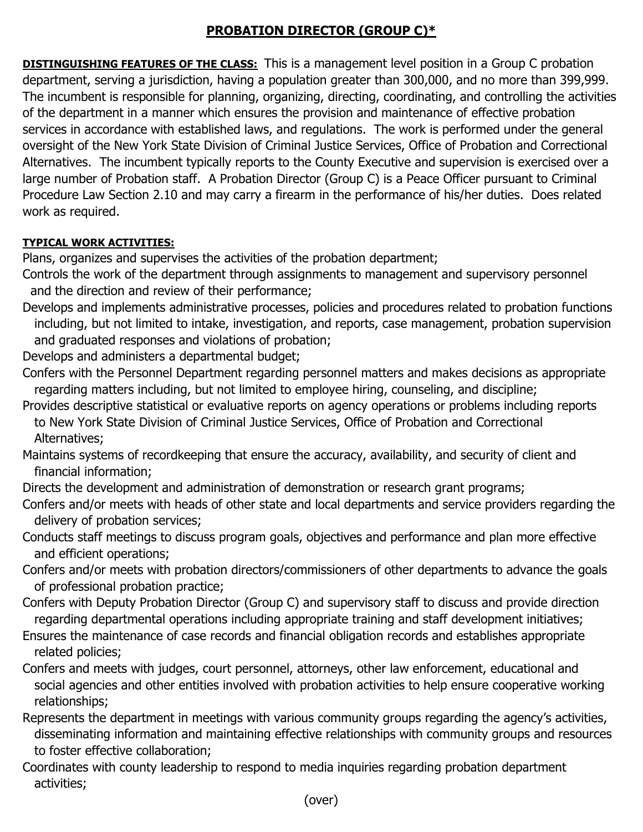# **PROBATION DIRECTOR (GROUP C)\***

**DISTINGUISHING FEATURES OF THE CLASS:** This is a management level position in a Group C probation department, serving a jurisdiction, having a population greater than 300,000, and no more than 399,999. The incumbent is responsible for planning, organizing, directing, coordinating, and controlling the activities of the department in a manner which ensures the provision and maintenance of effective probation services in accordance with established laws, and regulations. The work is performed under the general oversight of the New York State Division of Criminal Justice Services, Office of Probation and Correctional Alternatives. The incumbent typically reports to the County Executive and supervision is exercised over a large number of Probation staff. A Probation Director (Group C) is a Peace Officer pursuant to Criminal Procedure Law Section 2.10 and may carry a firearm in the performance of his/her duties. Does related work as required.

## **TYPICAL WORK ACTIVITIES:**

Plans, organizes and supervises the activities of the probation department;

- Controls the work of the department through assignments to management and supervisory personnel and the direction and review of their performance;
- Develops and implements administrative processes, policies and procedures related to probation functions including, but not limited to intake, investigation, and reports, case management, probation supervision and graduated responses and violations of probation;

Develops and administers a departmental budget;

- Confers with the Personnel Department regarding personnel matters and makes decisions as appropriate regarding matters including, but not limited to employee hiring, counseling, and discipline;
- Provides descriptive statistical or evaluative reports on agency operations or problems including reports to New York State Division of Criminal Justice Services, Office of Probation and Correctional Alternatives;
- Maintains systems of recordkeeping that ensure the accuracy, availability, and security of client and financial information;
- Directs the development and administration of demonstration or research grant programs;
- Confers and/or meets with heads of other state and local departments and service providers regarding the delivery of probation services;
- Conducts staff meetings to discuss program goals, objectives and performance and plan more effective and efficient operations;
- Confers and/or meets with probation directors/commissioners of other departments to advance the goals of professional probation practice;
- Confers with Deputy Probation Director (Group C) and supervisory staff to discuss and provide direction regarding departmental operations including appropriate training and staff development initiatives;
- Ensures the maintenance of case records and financial obligation records and establishes appropriate related policies;
- Confers and meets with judges, court personnel, attorneys, other law enforcement, educational and social agencies and other entities involved with probation activities to help ensure cooperative working relationships;
- Represents the department in meetings with various community groups regarding the agency's activities, disseminating information and maintaining effective relationships with community groups and resources to foster effective collaboration;
- Coordinates with county leadership to respond to media inquiries regarding probation department activities;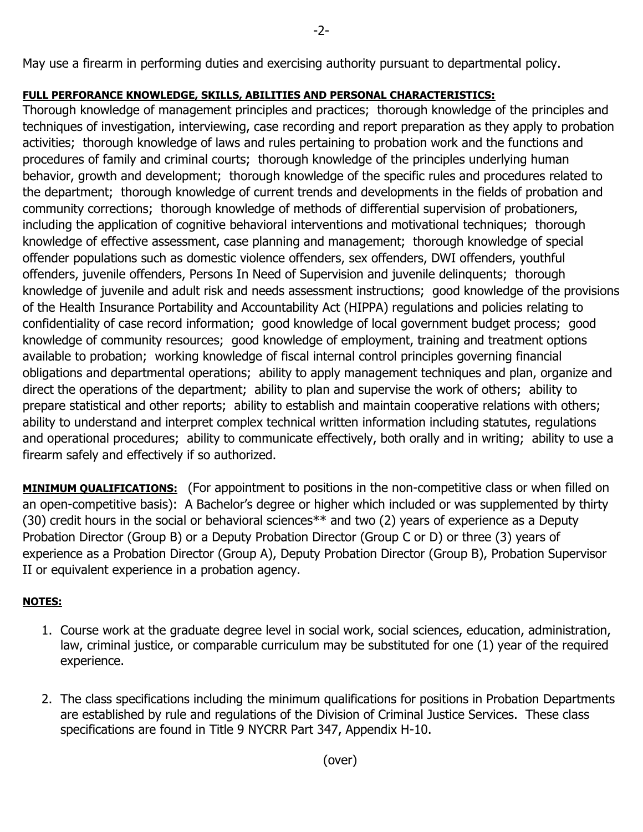## **FULL PERFORANCE KNOWLEDGE, SKILLS, ABILITIES AND PERSONAL CHARACTERISTICS:**

Thorough knowledge of management principles and practices; thorough knowledge of the principles and techniques of investigation, interviewing, case recording and report preparation as they apply to probation activities; thorough knowledge of laws and rules pertaining to probation work and the functions and procedures of family and criminal courts; thorough knowledge of the principles underlying human behavior, growth and development; thorough knowledge of the specific rules and procedures related to the department; thorough knowledge of current trends and developments in the fields of probation and community corrections; thorough knowledge of methods of differential supervision of probationers, including the application of cognitive behavioral interventions and motivational techniques; thorough knowledge of effective assessment, case planning and management; thorough knowledge of special offender populations such as domestic violence offenders, sex offenders, DWI offenders, youthful offenders, juvenile offenders, Persons In Need of Supervision and juvenile delinquents; thorough knowledge of juvenile and adult risk and needs assessment instructions; good knowledge of the provisions of the Health Insurance Portability and Accountability Act (HIPPA) regulations and policies relating to confidentiality of case record information; good knowledge of local government budget process; good knowledge of community resources; good knowledge of employment, training and treatment options available to probation; working knowledge of fiscal internal control principles governing financial obligations and departmental operations; ability to apply management techniques and plan, organize and direct the operations of the department; ability to plan and supervise the work of others; ability to prepare statistical and other reports; ability to establish and maintain cooperative relations with others; ability to understand and interpret complex technical written information including statutes, regulations and operational procedures; ability to communicate effectively, both orally and in writing; ability to use a firearm safely and effectively if so authorized.

**MINIMUM QUALIFICATIONS:** (For appointment to positions in the non-competitive class or when filled on an open-competitive basis): A Bachelor's degree or higher which included or was supplemented by thirty (30) credit hours in the social or behavioral sciences\*\* and two (2) years of experience as a Deputy Probation Director (Group B) or a Deputy Probation Director (Group C or D) or three (3) years of experience as a Probation Director (Group A), Deputy Probation Director (Group B), Probation Supervisor II or equivalent experience in a probation agency.

## **NOTES:**

- 1. Course work at the graduate degree level in social work, social sciences, education, administration, law, criminal justice, or comparable curriculum may be substituted for one (1) year of the required experience.
- 2. The class specifications including the minimum qualifications for positions in Probation Departments are established by rule and regulations of the Division of Criminal Justice Services. These class specifications are found in Title 9 NYCRR Part 347, Appendix H-10.